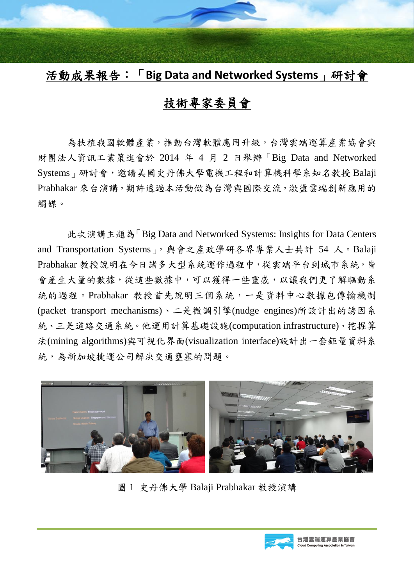## 活動成果報告:「**Big Data and Networked Systems**」研討會

## 技術專家委員會

為扶植我國軟體產業,推動台灣軟體應用升級,台灣雲端運算產業協會與 財團法人資訊工業策進會於 2014 年 4 月 2 日舉辦「Big Data and Networked Systems」研討會,邀請美國史丹佛大學電機工程和計算機科學系知名教授 Balaji Prabhakar 來台演講,期許透過本活動做為台灣與國際交流,激盪雲端創新應用的 觸媒。

此次演講主題為「Big Data and Networked Systems: Insights for Data Centers and Transportation Systems」,與會之產政學研各界專業人士共計 54 人。Balaji Prabhakar 教授說明在今日諸多大型系統運作過程中,從雲端平台到城市系統,皆 會產生大量的數據,從這些數據中,可以獲得一些靈感,以讓我們更了解驅動系 統的過程。Prabhakar 教授首先說明三個系統,一是資料中心數據包傳輸機制 (packet transport mechanisms)、二是微調引擎(nudge engines)所設計出的誘因系 統、三是道路交通系統。他運用計算基礎設施(computation infrastructure)、挖掘算 法(mining algorithms)與可視化界面(visualization interface)設計出一套鉅量資料系 統,為新加坡捷運公司解決交通壅塞的問題。



圖 1 史丹佛大學 Balaji Prabhakar 教授演講

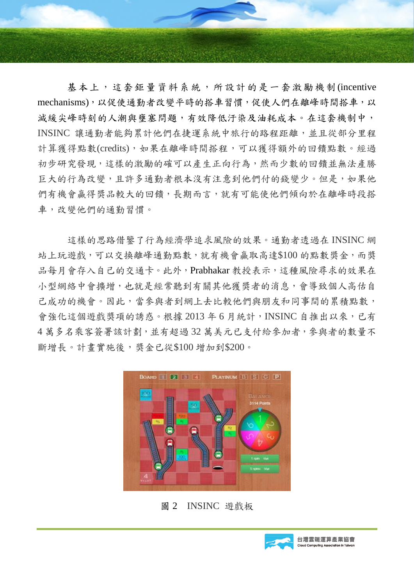基本上,這套鉅量資料系統,所設計的是一套激勵機制(incentive mechanisms),以促使通勤者改變平時的搭車習慣,促使人們在離峰時間搭車,以 減緩尖峰時刻的人潮與壅塞問題,有效降低汙染及油耗成本。在這套機制中, INSINC 讓通勤者能夠累計他們在捷運系統中旅行的路程距離,並且從部分里程 計算獲得點數(credits),如果在離峰時間搭程,可以獲得額外的回饋點數。經過 初步研究發現,這樣的激勵的確可以產生正向行為,然而少數的回饋並無法產勝 巨大的行為改變,且許多通勤者根本沒有注意到他們付的錢變少。但是,如果他 們有機會贏得獎品較大的回饋,長期而言,就有可能使他們傾向於在離峰時段搭 車,改變他們的通勤習慣。

這樣的思路借鑒了行為經濟學追求風險的效果。通勤者透過在 INSINC 網 站上玩遊戲,可以交換離峰通勤點數,就有機會贏取高達\$100 的點數獎金,而獎 品每月會存入自己的交通卡。此外,Prabhakar 教授表示,這種風險尋求的效果在 小型網絡中會擴增,也就是經常聽到有關其他獲獎者的消息,會導致個人高估自 己成功的機會。因此,當參與者到網上去比較他們與朋友和同事間的累積點數, 會強化這個遊戲獎項的誘惑。根據 2013年6月統計, INSINC 自推出以來, 已有 4 萬多名乘客簽署該計劃,並有超過 32 萬美元已支付給參加者,參與者的數量不 斷增長。計書實施後,獎金已從\$100 增加到\$200。



圖 2 INSINC 遊戲板